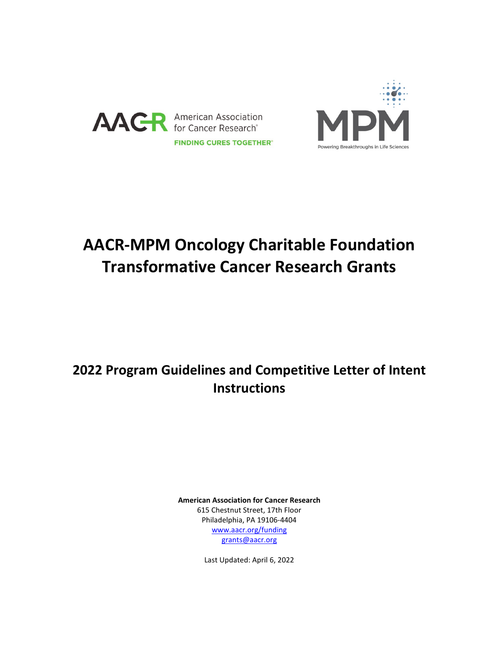



# **AACR-MPM Oncology Charitable Foundation Transformative Cancer Research Grants**

## **2022 Program Guidelines and Competitive Letter of Intent Instructions**

**American Association for Cancer Research** 615 Chestnut Street, 17th Floor Philadelphia, PA 19106-4404 [www.aacr.org/funding](http://www.aacr.org/funding) [grants@aacr.org](mailto:grants@aacr.org)

Last Updated: April 6, 2022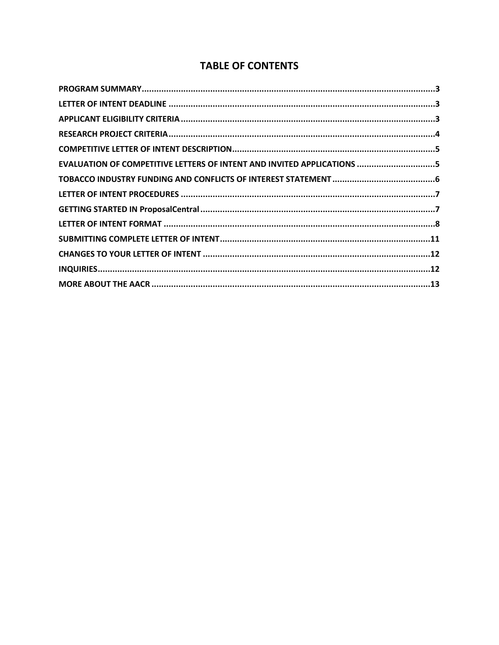## **TABLE OF CONTENTS**

| EVALUATION OF COMPETITIVE LETTERS OF INTENT AND INVITED APPLICATIONS 5 |  |
|------------------------------------------------------------------------|--|
|                                                                        |  |
|                                                                        |  |
|                                                                        |  |
|                                                                        |  |
|                                                                        |  |
|                                                                        |  |
|                                                                        |  |
|                                                                        |  |
|                                                                        |  |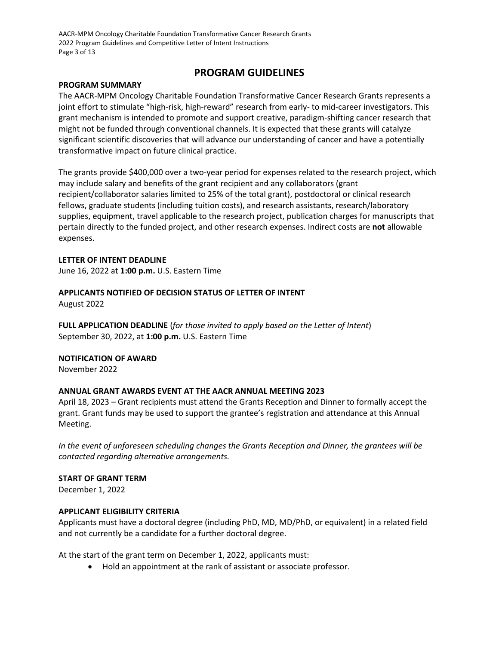AACR-MPM Oncology Charitable Foundation Transformative Cancer Research Grants 2022 Program Guidelines and Competitive Letter of Intent Instructions Page 3 of 13

### **PROGRAM GUIDELINES**

#### <span id="page-2-0"></span>**PROGRAM SUMMARY**

The AACR-MPM Oncology Charitable Foundation Transformative Cancer Research Grants represents a joint effort to stimulate "high-risk, high-reward" research from early- to mid-career investigators. This grant mechanism is intended to promote and support creative, paradigm-shifting cancer research that might not be funded through conventional channels. It is expected that these grants will catalyze significant scientific discoveries that will advance our understanding of cancer and have a potentially transformative impact on future clinical practice.

The grants provide \$400,000 over a two-year period for expenses related to the research project, which may include salary and benefits of the grant recipient and any collaborators (grant recipient/collaborator salaries limited to 25% of the total grant), postdoctoral or clinical research fellows, graduate students (including tuition costs), and research assistants, research/laboratory supplies, equipment, travel applicable to the research project, publication charges for manuscripts that pertain directly to the funded project, and other research expenses. Indirect costs are **not** allowable expenses.

#### <span id="page-2-1"></span>**LETTER OF INTENT DEADLINE**

June 16, 2022 at **1:00 p.m.** U.S. Eastern Time

## **APPLICANTS NOTIFIED OF DECISION STATUS OF LETTER OF INTENT**

August 2022

**FULL APPLICATION DEADLINE** (*for those invited to apply based on the Letter of Intent*) September 30, 2022, at **1:00 p.m.** U.S. Eastern Time

#### **NOTIFICATION OF AWARD**

November 2022

#### **ANNUAL GRANT AWARDS EVENT AT THE AACR ANNUAL MEETING 2023**

April 18, 2023 – Grant recipients must attend the Grants Reception and Dinner to formally accept the grant. Grant funds may be used to support the grantee's registration and attendance at this Annual Meeting.

*In the event of unforeseen scheduling changes the Grants Reception and Dinner, the grantees will be contacted regarding alternative arrangements.*

#### **START OF GRANT TERM**

December 1, 2022

#### <span id="page-2-2"></span>**APPLICANT ELIGIBILITY CRITERIA**

Applicants must have a doctoral degree (including PhD, MD, MD/PhD, or equivalent) in a related field and not currently be a candidate for a further doctoral degree.

At the start of the grant term on December 1, 2022, applicants must:

• Hold an appointment at the rank of assistant or associate professor.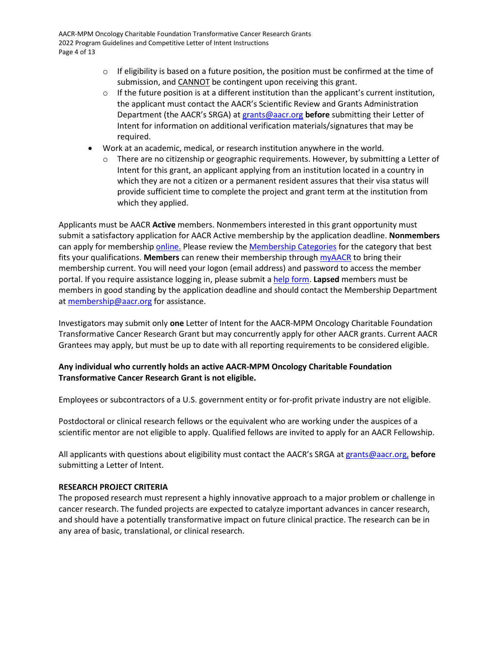- $\circ$  If eligibility is based on a future position, the position must be confirmed at the time of submission, and CANNOT be contingent upon receiving this grant.
- $\circ$  If the future position is at a different institution than the applicant's current institution, the applicant must contact the AACR's Scientific Review and Grants Administration Department (the AACR's SRGA) a[t grants@aacr.org](mailto:grants@aacr.org) **before** submitting their Letter of Intent for information on additional verification materials/signatures that may be required.
- Work at an academic, medical, or research institution anywhere in the world.
	- $\circ$  There are no citizenship or geographic requirements. However, by submitting a Letter of Intent for this grant, an applicant applying from an institution located in a country in which they are not a citizen or a permanent resident assures that their visa status will provide sufficient time to complete the project and grant term at the institution from which they applied.

Applicants must be AACR **Active** members. Nonmembers interested in this grant opportunity must submit a satisfactory application for AACR Active membership by the application deadline. **Nonmembers** can apply for membershi[p online.](https://myaacr.aacr.org/) Please review the [Membership Categories](https://www.aacr.org/professionals/membership/become-a-member/membership-categories/) for the category that best fits your qualifications. **Members** can renew their membership through [myAACR](https://myaacr.aacr.org/) to bring their membership current. You will need your logon (email address) and password to access the member portal. If you require assistance logging in, please submit a help form. **Lapsed** members must be members in good standing by the application deadline and should contact the Membership Department at [membership@aacr.org](mailto:membership@aacr.org) for assistance.

Investigators may submit only **one** Letter of Intent for the AACR-MPM Oncology Charitable Foundation Transformative Cancer Research Grant but may concurrently apply for other AACR grants. Current AACR Grantees may apply, but must be up to date with all reporting requirements to be considered eligible.

#### **Any individual who currently holds an active AACR-MPM Oncology Charitable Foundation Transformative Cancer Research Grant is not eligible.**

Employees or subcontractors of a U.S. government entity or for-profit private industry are not eligible.

Postdoctoral or clinical research fellows or the equivalent who are working under the auspices of a scientific mentor are not eligible to apply. Qualified fellows are invited to apply for an AACR Fellowship.

All applicants with questions about eligibility must contact the AACR's SRGA a[t grants@aacr.org,](mailto:grants@aacr.org) **before** submitting a Letter of Intent.

#### <span id="page-3-0"></span>**RESEARCH PROJECT CRITERIA**

The proposed research must represent a highly innovative approach to a major problem or challenge in cancer research. The funded projects are expected to catalyze important advances in cancer research, and should have a potentially transformative impact on future clinical practice. The research can be in any area of basic, translational, or clinical research.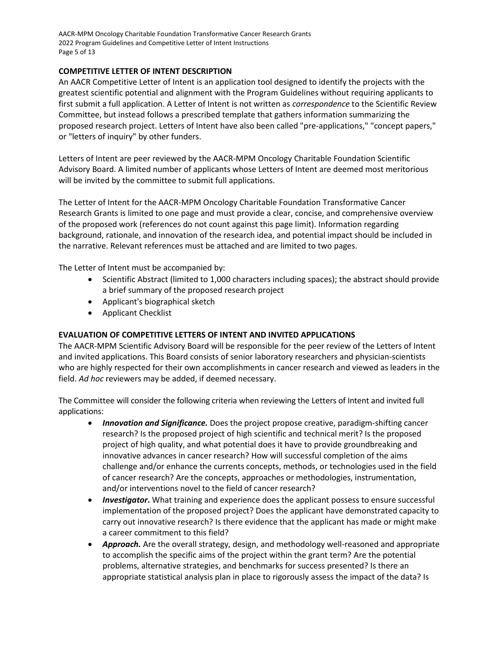AACR-MPM Oncology Charitable Foundation Transformative Cancer Research Grants 2022 Program Guidelines and Competitive Letter of Intent Instructions Page 5 of 13

#### <span id="page-4-0"></span>**COMPETITIVE LETTER OF INTENT DESCRIPTION**

An AACR Competitive Letter of Intent is an application tool designed to identify the projects with the greatest scientific potential and alignment with the Program Guidelines without requiring applicants to first submit a full application. A Letter of Intent is not written as *correspondence* to the Scientific Review Committee, but instead follows a prescribed template that gathers information summarizing the proposed research project. Letters of Intent have also been called "pre-applications," "concept papers," or "letters of inquiry" by other funders.

Letters of Intent are peer reviewed by the AACR-MPM Oncology Charitable Foundation Scientific Advisory Board. A limited number of applicants whose Letters of Intent are deemed most meritorious will be invited by the committee to submit full applications.

The Letter of Intent for the AACR-MPM Oncology Charitable Foundation Transformative Cancer Research Grants is limited to one page and must provide a clear, concise, and comprehensive overview of the proposed work (references do not count against this page limit). Information regarding background, rationale, and innovation of the research idea, and potential impact should be included in the narrative. Relevant references must be attached and are limited to two pages.

The Letter of Intent must be accompanied by:

- Scientific Abstract (limited to 1,000 characters including spaces); the abstract should provide a brief summary of the proposed research project
- Applicant's biographical sketch
- Applicant Checklist

#### <span id="page-4-1"></span>**EVALUATION OF COMPETITIVE LETTERS OF INTENT AND INVITED APPLICATIONS**

The AACR-MPM Scientific Advisory Board will be responsible for the peer review of the Letters of Intent and invited applications. This Board consists of senior laboratory researchers and physician-scientists who are highly respected for their own accomplishments in cancer research and viewed as leaders in the field. *Ad hoc* reviewers may be added, if deemed necessary.

The Committee will consider the following criteria when reviewing the Letters of Intent and invited full applications:

- *Innovation and Significance.* Does the project propose creative, paradigm-shifting cancer research? Is the proposed project of high scientific and technical merit? Is the proposed project of high quality, and what potential does it have to provide groundbreaking and innovative advances in cancer research? How will successful completion of the aims challenge and/or enhance the currents concepts, methods, or technologies used in the field of cancer research? Are the concepts, approaches or methodologies, instrumentation, and/or interventions novel to the field of cancer research?
- *Investigator***.** What training and experience does the applicant possess to ensure successful implementation of the proposed project? Does the applicant have demonstrated capacity to carry out innovative research? Is there evidence that the applicant has made or might make a career commitment to this field?
- *Approach.* Are the overall strategy, design, and methodology well-reasoned and appropriate to accomplish the specific aims of the project within the grant term? Are the potential problems, alternative strategies, and benchmarks for success presented? Is there an appropriate statistical analysis plan in place to rigorously assess the impact of the data? Is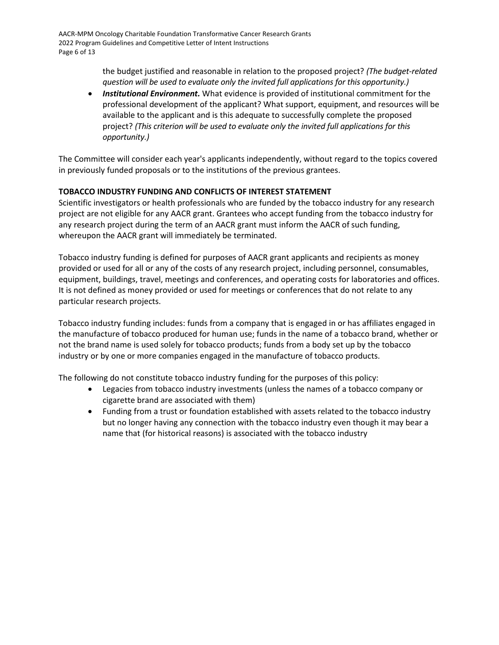the budget justified and reasonable in relation to the proposed project? *(The budget-related question will be used to evaluate only the invited full applications for this opportunity.)*

• *Institutional Environment.* What evidence is provided of institutional commitment for the professional development of the applicant? What support, equipment, and resources will be available to the applicant and is this adequate to successfully complete the proposed project? *(This criterion will be used to evaluate only the invited full applications for this opportunity.)*

The Committee will consider each year's applicants independently, without regard to the topics covered in previously funded proposals or to the institutions of the previous grantees.

#### <span id="page-5-0"></span>**TOBACCO INDUSTRY FUNDING AND CONFLICTS OF INTEREST STATEMENT**

Scientific investigators or health professionals who are funded by the tobacco industry for any research project are not eligible for any AACR grant. Grantees who accept funding from the tobacco industry for any research project during the term of an AACR grant must inform the AACR of such funding, whereupon the AACR grant will immediately be terminated.

Tobacco industry funding is defined for purposes of AACR grant applicants and recipients as money provided or used for all or any of the costs of any research project, including personnel, consumables, equipment, buildings, travel, meetings and conferences, and operating costs for laboratories and offices. It is not defined as money provided or used for meetings or conferences that do not relate to any particular research projects.

Tobacco industry funding includes: funds from a company that is engaged in or has affiliates engaged in the manufacture of tobacco produced for human use; funds in the name of a tobacco brand, whether or not the brand name is used solely for tobacco products; funds from a body set up by the tobacco industry or by one or more companies engaged in the manufacture of tobacco products.

The following do not constitute tobacco industry funding for the purposes of this policy:

- Legacies from tobacco industry investments (unless the names of a tobacco company or cigarette brand are associated with them)
- Funding from a trust or foundation established with assets related to the tobacco industry but no longer having any connection with the tobacco industry even though it may bear a name that (for historical reasons) is associated with the tobacco industry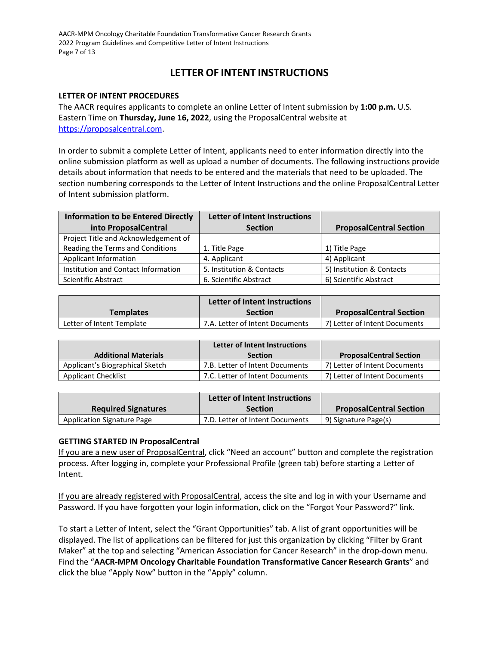AACR-MPM Oncology Charitable Foundation Transformative Cancer Research Grants 2022 Program Guidelines and Competitive Letter of Intent Instructions Page 7 of 13

## **LETTER OF INTENT INSTRUCTIONS**

#### <span id="page-6-0"></span>**LETTER OF INTENT PROCEDURES**

The AACR requires applicants to complete an online Letter of Intent submission by **1:00 p.m.** U.S. Eastern Time on **Thursday, June 16, 2022**, using the ProposalCentral website at [https://proposalcentral.com.](https://proposalcentral.com/)

In order to submit a complete Letter of Intent, applicants need to enter information directly into the online submission platform as well as upload a number of documents. The following instructions provide details about information that needs to be entered and the materials that need to be uploaded. The section numbering corresponds to the Letter of Intent Instructions and the online ProposalCentral Letter of Intent submission platform.

| <b>Information to be Entered Directly</b> | <b>Letter of Intent Instructions</b> |                                |
|-------------------------------------------|--------------------------------------|--------------------------------|
| into ProposalCentral                      | <b>Section</b>                       | <b>ProposalCentral Section</b> |
| Project Title and Acknowledgement of      |                                      |                                |
| Reading the Terms and Conditions          | 1. Title Page                        | 1) Title Page                  |
| Applicant Information                     | 4. Applicant                         | 4) Applicant                   |
| Institution and Contact Information       | 5. Institution & Contacts            | 5) Institution & Contacts      |
| Scientific Abstract                       | 6. Scientific Abstract               | 6) Scientific Abstract         |

|                           | Letter of Intent Instructions   |                                |
|---------------------------|---------------------------------|--------------------------------|
| <b>Templates</b>          | <b>Section</b>                  | <b>ProposalCentral Section</b> |
| Letter of Intent Template | 7.A. Letter of Intent Documents | 7) Letter of Intent Documents  |

|                                 | <b>Letter of Intent Instructions</b> |                                |
|---------------------------------|--------------------------------------|--------------------------------|
| <b>Additional Materials</b>     | <b>Section</b>                       | <b>ProposalCentral Section</b> |
| Applicant's Biographical Sketch | 7.B. Letter of Intent Documents      | 7) Letter of Intent Documents  |
| <b>Applicant Checklist</b>      | 7.C. Letter of Intent Documents      | 7) Letter of Intent Documents  |

|                                   | Letter of Intent Instructions   |                                |
|-----------------------------------|---------------------------------|--------------------------------|
| <b>Required Signatures</b>        | <b>Section</b>                  | <b>ProposalCentral Section</b> |
| <b>Application Signature Page</b> | 7.D. Letter of Intent Documents | 9) Signature Page(s)           |

#### <span id="page-6-1"></span>**GETTING STARTED IN ProposalCentral**

If you are a new user of ProposalCentral, click "Need an account" button and complete the registration process. After logging in, complete your Professional Profile (green tab) before starting a Letter of Intent.

If you are already registered with ProposalCentral, access the site and log in with your Username and Password. If you have forgotten your login information, click on the "Forgot Your Password?" link.

To start a Letter of Intent, select the "Grant Opportunities" tab. A list of grant opportunities will be displayed. The list of applications can be filtered for just this organization by clicking "Filter by Grant Maker" at the top and selecting "American Association for Cancer Research" in the drop-down menu. Find the "**AACR-MPM Oncology Charitable Foundation Transformative Cancer Research Grants**" and click the blue "Apply Now" button in the "Apply" column.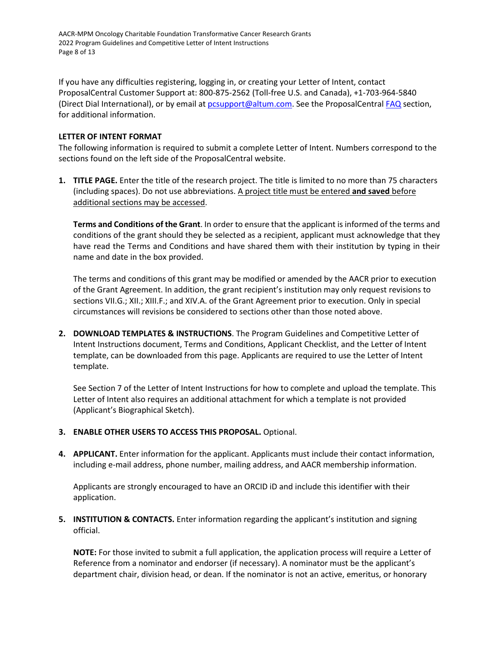AACR-MPM Oncology Charitable Foundation Transformative Cancer Research Grants 2022 Program Guidelines and Competitive Letter of Intent Instructions Page 8 of 13

If you have any difficulties registering, logging in, or creating your Letter of Intent, contact ProposalCentral Customer Support at: 800-875-2562 (Toll-free U.S. and Canada), +1-703-964-5840 (Direct Dial International), or by email at [pcsupport@altum.com.](mailto:pcsupport@altum.com) See the ProposalCentral [FAQ](https://proposalcentral.com/FAQ/FrequentlyAskedQuestions.asp) section, for additional information.

#### <span id="page-7-0"></span>**LETTER OF INTENT FORMAT**

The following information is required to submit a complete Letter of Intent. Numbers correspond to the sections found on the left side of the ProposalCentral website.

**1. TITLE PAGE.** Enter the title of the research project. The title is limited to no more than 75 characters (including spaces). Do not use abbreviations. A project title must be entered **and saved** before additional sections may be accessed.

**Terms and Conditions of the Grant**. In order to ensure that the applicant is informed of the terms and conditions of the grant should they be selected as a recipient, applicant must acknowledge that they have read the Terms and Conditions and have shared them with their institution by typing in their name and date in the box provided.

The terms and conditions of this grant may be modified or amended by the AACR prior to execution of the Grant Agreement. In addition, the grant recipient's institution may only request revisions to sections VII.G.; XII.; XIII.F.; and XIV.A. of the Grant Agreement prior to execution. Only in special circumstances will revisions be considered to sections other than those noted above.

**2. DOWNLOAD TEMPLATES & INSTRUCTIONS**. The Program Guidelines and Competitive Letter of Intent Instructions document, Terms and Conditions, Applicant Checklist, and the Letter of Intent template, can be downloaded from this page. Applicants are required to use the Letter of Intent template.

See Section 7 of the Letter of Intent Instructions for how to complete and upload the template. This Letter of Intent also requires an additional attachment for which a template is not provided (Applicant's Biographical Sketch).

- **3. ENABLE OTHER USERS TO ACCESS THIS PROPOSAL.** Optional.
- **4. APPLICANT.** Enter information for the applicant. Applicants must include their contact information, including e-mail address, phone number, mailing address, and AACR membership information.

Applicants are strongly encouraged to have an ORCID iD and include this identifier with their application.

**5. INSTITUTION & CONTACTS.** Enter information regarding the applicant's institution and signing official.

**NOTE:** For those invited to submit a full application, the application process will require a Letter of Reference from a nominator and endorser (if necessary). A nominator must be the applicant's department chair, division head, or dean. If the nominator is not an active, emeritus, or honorary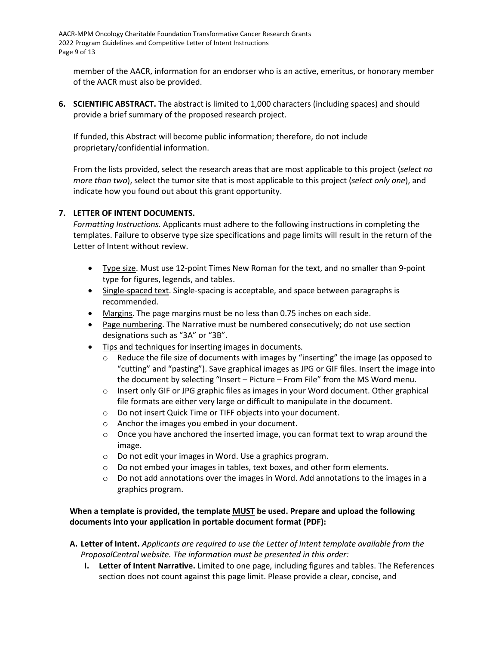member of the AACR, information for an endorser who is an active, emeritus, or honorary member of the AACR must also be provided.

**6. SCIENTIFIC ABSTRACT.** The abstract is limited to 1,000 characters (including spaces) and should provide a brief summary of the proposed research project.

If funded, this Abstract will become public information; therefore, do not include proprietary/confidential information.

From the lists provided, select the research areas that are most applicable to this project (*select no more than two*), select the tumor site that is most applicable to this project (*select only one*), and indicate how you found out about this grant opportunity.

#### **7. LETTER OF INTENT DOCUMENTS.**

*Formatting Instructions.* Applicants must adhere to the following instructions in completing the templates. Failure to observe type size specifications and page limits will result in the return of the Letter of Intent without review.

- Type size. Must use 12-point Times New Roman for the text, and no smaller than 9-point type for figures, legends, and tables.
- Single-spaced text. Single-spacing is acceptable, and space between paragraphs is recommended.
- Margins. The page margins must be no less than 0.75 inches on each side.
- Page numbering. The Narrative must be numbered consecutively; do not use section designations such as "3A" or "3B".
- Tips and techniques for inserting images in documents*.* 
	- o Reduce the file size of documents with images by "inserting" the image (as opposed to "cutting" and "pasting"). Save graphical images as JPG or GIF files. Insert the image into the document by selecting "Insert – Picture – From File" from the MS Word menu.
	- $\circ$  Insert only GIF or JPG graphic files as images in your Word document. Other graphical file formats are either very large or difficult to manipulate in the document.
	- o Do not insert Quick Time or TIFF objects into your document.
	- o Anchor the images you embed in your document.
	- $\circ$  Once you have anchored the inserted image, you can format text to wrap around the image.
	- o Do not edit your images in Word. Use a graphics program.
	- $\circ$  Do not embed your images in tables, text boxes, and other form elements.
	- $\circ$  Do not add annotations over the images in Word. Add annotations to the images in a graphics program.

#### **When a template is provided, the template MUST be used. Prepare and upload the following documents into your application in portable document format (PDF):**

- **A. Letter of Intent.** *Applicants are required to use the Letter of Intent template available from the ProposalCentral website. The information must be presented in this order:*
	- **I. Letter of Intent Narrative.** Limited to one page, including figures and tables. The References section does not count against this page limit. Please provide a clear, concise, and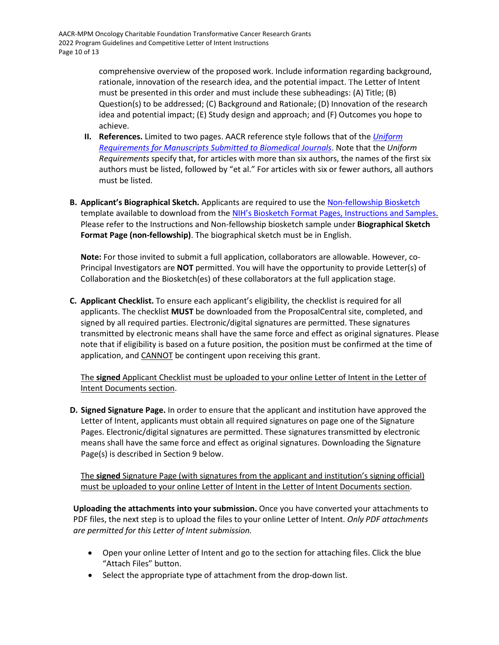comprehensive overview of the proposed work. Include information regarding background, rationale, innovation of the research idea, and the potential impact. The Letter of Intent must be presented in this order and must include these subheadings: (A) Title; (B) Question(s) to be addressed; (C) Background and Rationale; (D) Innovation of the research idea and potential impact; (E) Study design and approach; and (F) Outcomes you hope to achieve.

- **II. References.** Limited to two pages. AACR reference style follows that of the *[Uniform](http://www.nlm.nih.gov/bsd/uniform_requirements.html)  [Requirements for Manuscripts Submitted to Biomedical Journals](http://www.nlm.nih.gov/bsd/uniform_requirements.html)*. Note that the *Uniform Requirements* specify that, for articles with more than six authors, the names of the first six authors must be listed, followed by "et al." For articles with six or fewer authors, all authors must be listed.
- **B. Applicant's Biographical Sketch.** Applicants are required to use the [Non-fellowship Biosketch](https://grants.nih.gov/grants/forms/biosketch-blankformat_exp%2002-28-2023.docx) template available to download from the [NIH's Biosketch Format Pages, Instructions and Samples.](https://grants.nih.gov/grants/forms/biosketch.htm) Please refer to the Instructions and Non-fellowship biosketch sample under **Biographical Sketch Format Page (non-fellowship)**. The biographical sketch must be in English.

**Note:** For those invited to submit a full application, collaborators are allowable. However, co-Principal Investigators are **NOT** permitted. You will have the opportunity to provide Letter(s) of Collaboration and the Biosketch(es) of these collaborators at the full application stage.

**C. Applicant Checklist.** To ensure each applicant's eligibility, the checklist is required for all applicants. The checklist **MUST** be downloaded from the ProposalCentral site, completed, and signed by all required parties. Electronic/digital signatures are permitted. These signatures transmitted by electronic means shall have the same force and effect as original signatures. Please note that if eligibility is based on a future position, the position must be confirmed at the time of application, and CANNOT be contingent upon receiving this grant.

The **signed** Applicant Checklist must be uploaded to your online Letter of Intent in the Letter of Intent Documents section.

**D. Signed Signature Page.** In order to ensure that the applicant and institution have approved the Letter of Intent, applicants must obtain all required signatures on page one of the Signature Pages. Electronic/digital signatures are permitted. These signatures transmitted by electronic means shall have the same force and effect as original signatures. Downloading the Signature Page(s) is described in Section 9 below.

The **signed** Signature Page (with signatures from the applicant and institution's signing official) must be uploaded to your online Letter of Intent in the Letter of Intent Documents section.

**Uploading the attachments into your submission.** Once you have converted your attachments to PDF files, the next step is to upload the files to your online Letter of Intent. *Only PDF attachments are permitted for this Letter of Intent submission.*

- Open your online Letter of Intent and go to the section for attaching files. Click the blue "Attach Files" button.
- Select the appropriate type of attachment from the drop-down list.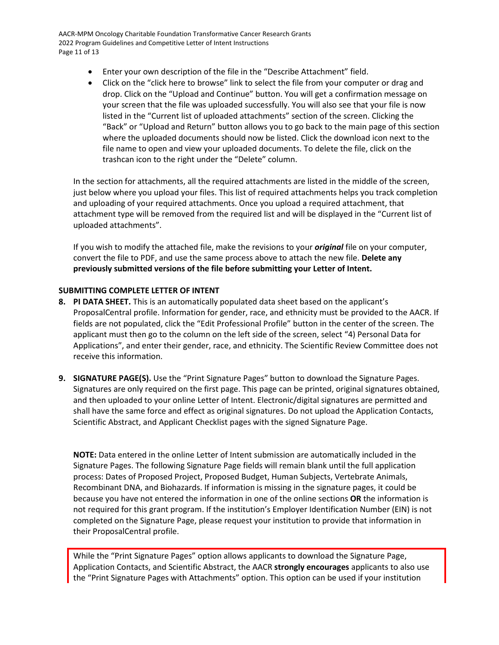AACR-MPM Oncology Charitable Foundation Transformative Cancer Research Grants 2022 Program Guidelines and Competitive Letter of Intent Instructions Page 11 of 13

- Enter your own description of the file in the "Describe Attachment" field.
- Click on the "click here to browse" link to select the file from your computer or drag and drop. Click on the "Upload and Continue" button. You will get a confirmation message on your screen that the file was uploaded successfully. You will also see that your file is now listed in the "Current list of uploaded attachments" section of the screen. Clicking the "Back" or "Upload and Return" button allows you to go back to the main page of this section where the uploaded documents should now be listed. Click the download icon next to the file name to open and view your uploaded documents. To delete the file, click on the trashcan icon to the right under the "Delete" column.

In the section for attachments, all the required attachments are listed in the middle of the screen, just below where you upload your files. This list of required attachments helps you track completion and uploading of your required attachments. Once you upload a required attachment, that attachment type will be removed from the required list and will be displayed in the "Current list of uploaded attachments".

If you wish to modify the attached file, make the revisions to your *original* file on your computer, convert the file to PDF, and use the same process above to attach the new file. **Delete any previously submitted versions of the file before submitting your Letter of Intent.** 

#### <span id="page-10-0"></span>**SUBMITTING COMPLETE LETTER OF INTENT**

- **8. PI DATA SHEET.** This is an automatically populated data sheet based on the applicant's ProposalCentral profile. Information for gender, race, and ethnicity must be provided to the AACR. If fields are not populated, click the "Edit Professional Profile" button in the center of the screen. The applicant must then go to the column on the left side of the screen, select "4) Personal Data for Applications", and enter their gender, race, and ethnicity. The Scientific Review Committee does not receive this information.
- **9. SIGNATURE PAGE(S).** Use the "Print Signature Pages" button to download the Signature Pages. Signatures are only required on the first page. This page can be printed, original signatures obtained, and then uploaded to your online Letter of Intent. Electronic/digital signatures are permitted and shall have the same force and effect as original signatures. Do not upload the Application Contacts, Scientific Abstract, and Applicant Checklist pages with the signed Signature Page.

**NOTE:** Data entered in the online Letter of Intent submission are automatically included in the Signature Pages. The following Signature Page fields will remain blank until the full application process: Dates of Proposed Project, Proposed Budget, Human Subjects, Vertebrate Animals, Recombinant DNA, and Biohazards. If information is missing in the signature pages, it could be because you have not entered the information in one of the online sections **OR** the information is not required for this grant program. If the institution's Employer Identification Number (EIN) is not completed on the Signature Page, please request your institution to provide that information in their ProposalCentral profile.

While the "Print Signature Pages" option allows applicants to download the Signature Page, Application Contacts, and Scientific Abstract, the AACR **strongly encourages** applicants to also use the "Print Signature Pages with Attachments" option. This option can be used if your institution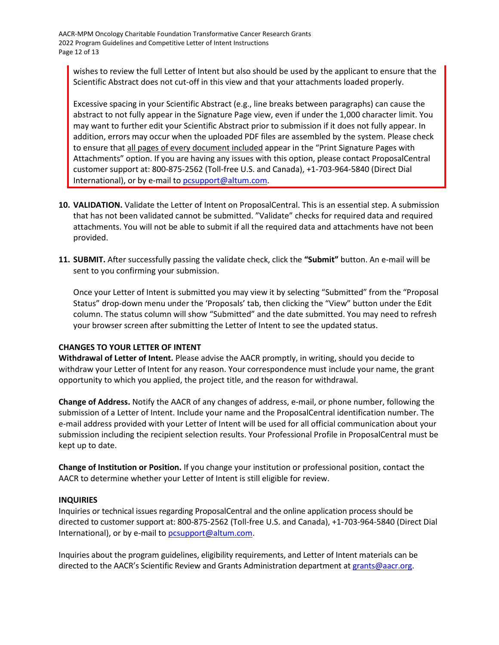AACR-MPM Oncology Charitable Foundation Transformative Cancer Research Grants 2022 Program Guidelines and Competitive Letter of Intent Instructions Page 12 of 13

wishes to review the full Letter of Intent but also should be used by the applicant to ensure that the Scientific Abstract does not cut-off in this view and that your attachments loaded properly.

Excessive spacing in your Scientific Abstract (e.g., line breaks between paragraphs) can cause the abstract to not fully appear in the Signature Page view, even if under the 1,000 character limit. You may want to further edit your Scientific Abstract prior to submission if it does not fully appear. In addition, errors may occur when the uploaded PDF files are assembled by the system. Please check to ensure that all pages of every document included appear in the "Print Signature Pages with Attachments" option. If you are having any issues with this option, please contact ProposalCentral customer support at: 800-875-2562 (Toll-free U.S. and Canada), +1-703-964-5840 (Direct Dial International), or by e-mail t[o pcsupport@altum.com.](mailto:pcsupport@altum.com)

- **10. VALIDATION.** Validate the Letter of Intent on ProposalCentral. This is an essential step. A submission that has not been validated cannot be submitted. "Validate" checks for required data and required attachments. You will not be able to submit if all the required data and attachments have not been provided.
- **11. SUBMIT.** After successfully passing the validate check, click the **"Submit"** button. An e-mail will be sent to you confirming your submission.

Once your Letter of Intent is submitted you may view it by selecting "Submitted" from the "Proposal Status" drop-down menu under the 'Proposals' tab, then clicking the "View" button under the Edit column. The status column will show "Submitted" and the date submitted. You may need to refresh your browser screen after submitting the Letter of Intent to see the updated status.

#### <span id="page-11-0"></span>**CHANGES TO YOUR LETTER OF INTENT**

**Withdrawal of Letter of Intent.** Please advise the AACR promptly, in writing, should you decide to withdraw your Letter of Intent for any reason. Your correspondence must include your name, the grant opportunity to which you applied, the project title, and the reason for withdrawal.

**Change of Address.** Notify the AACR of any changes of address, e-mail, or phone number, following the submission of a Letter of Intent. Include your name and the ProposalCentral identification number. The e-mail address provided with your Letter of Intent will be used for all official communication about your submission including the recipient selection results. Your Professional Profile in ProposalCentral must be kept up to date.

**Change of Institution or Position.** If you change your institution or professional position, contact the AACR to determine whether your Letter of Intent is still eligible for review.

#### <span id="page-11-1"></span>**INQUIRIES**

Inquiries or technical issues regarding ProposalCentral and the online application process should be directed to customer support at: 800-875-2562 (Toll-free U.S. and Canada), +1-703-964-5840 (Direct Dial International), or by e-mail to [pcsupport@altum.com.](mailto:pcsupport@altum.com)

Inquiries about the program guidelines, eligibility requirements, and Letter of Intent materials can be directed to the AACR's Scientific Review and Grants Administration department at [grants@aacr.org.](mailto:grants@aacr.org)